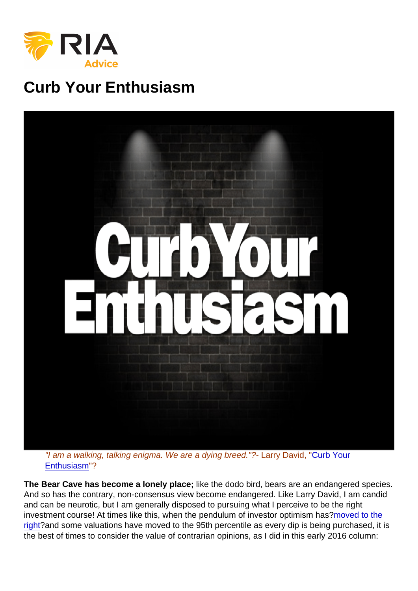# Curb Your Enthusiasm

"I am a walking, talking enigma. We are a dying breed."?- Larry David, ["Curb Your](https://www.youtube.com/watch?v=DUFBEamEF0Q) [Enthusiasm"](https://www.youtube.com/watch?v=DUFBEamEF0Q)?

The Bear Cave has become a lonely place; like the dodo bird, bears are an endangered species. And so has the contrary, non-consensus view become endangered. Like Larry David, I am candid and can be neurotic, but I am generally disposed to pursuing what I perceive to be the right investment course! At times like this, when the pendulum of investor optimism has?[moved to the](http://money.cnn.com/data/fear-and-greed) [right](http://money.cnn.com/data/fear-and-greed)?and some valuations have moved to the 95th percentile as every dip is being purchased, it is the best of times to consider the value of contrarian opinions, as I did in this early 2016 column: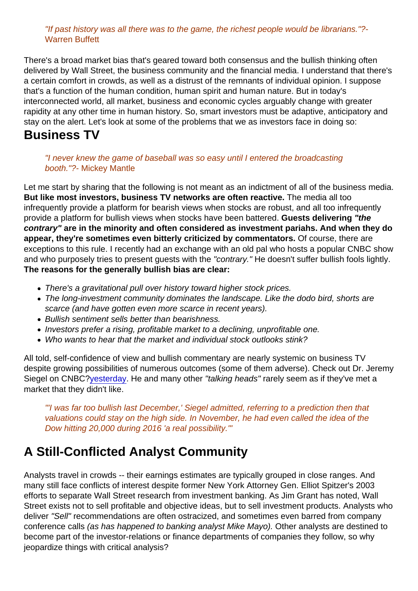#### "If past history was all there was to the game, the richest people would be librarians."?- Warren Buffett

There's a broad market bias that's geared toward both consensus and the bullish thinking often delivered by Wall Street, the business community and the financial media. I understand that there's a certain comfort in crowds, as well as a distrust of the remnants of individual opinion. I suppose that's a function of the human condition, human spirit and human nature. But in today's interconnected world, all market, business and economic cycles arguably change with greater rapidity at any other time in human history. So, smart investors must be adaptive, anticipatory and stay on the alert. Let's look at some of the problems that we as investors face in doing so:

#### Business TV

"I never knew the game of baseball was so easy until I entered the broadcasting booth."?- Mickey Mantle

Let me start by sharing that the following is not meant as an indictment of all of the business media. But like most investors, business TV networks are often reactive. The media all too infrequently provide a platform for bearish views when stocks are robust, and all too infrequently provide a platform for bullish views when stocks have been battered. Guests delivering "the contrary" are in the minority and often considered as investment pariahs. And when they do appear, they're sometimes even bitterly criticized by commentators. Of course, there are exceptions to this rule. I recently had an exchange with an old pal who hosts a popular CNBC show and who purposely tries to present guests with the "contrary." He doesn't suffer bullish fools lightly. The reasons for the generally bullish bias are clear:

- There's a gravitational pull over history toward higher stock prices.
- The long-investment community dominates the landscape. Like the dodo bird, shorts are scarce (and have gotten even more scarce in recent years).
- Bullish sentiment sells better than bearishness.
- Investors prefer a rising, profitable market to a declining, unprofitable one.
- Who wants to hear that the market and individual stock outlooks stink?

All told, self-confidence of view and bullish commentary are nearly systemic on business TV despite growing possibilities of numerous outcomes (some of them adverse). Check out Dr. Jeremy Siegel on CNBC[?yesterday](http://www.cnbc.com/2016/02/08/jeremy-siegel-i-was-too-bullish-and-heres-why.html). He and many other "talking heads" rarely seem as if they've met a market that they didn't like.

"'I was far too bullish last December,' Siegel admitted, referring to a prediction then that valuations could stay on the high side. In November, he had even called the idea of the Dow hitting 20,000 during 2016 'a real possibility.'"

## A Still-Conflicted Analyst Community

Analysts travel in crowds -- their earnings estimates are typically grouped in close ranges. And many still face conflicts of interest despite former New York Attorney Gen. Elliot Spitzer's 2003 efforts to separate Wall Street research from investment banking. As Jim Grant has noted, Wall Street exists not to sell profitable and objective ideas, but to sell investment products. Analysts who deliver "Sell" recommendations are often ostracized, and sometimes even barred from company conference calls (as has happened to banking analyst Mike Mayo). Other analysts are destined to become part of the investor-relations or finance departments of companies they follow, so why jeopardize things with critical analysis?